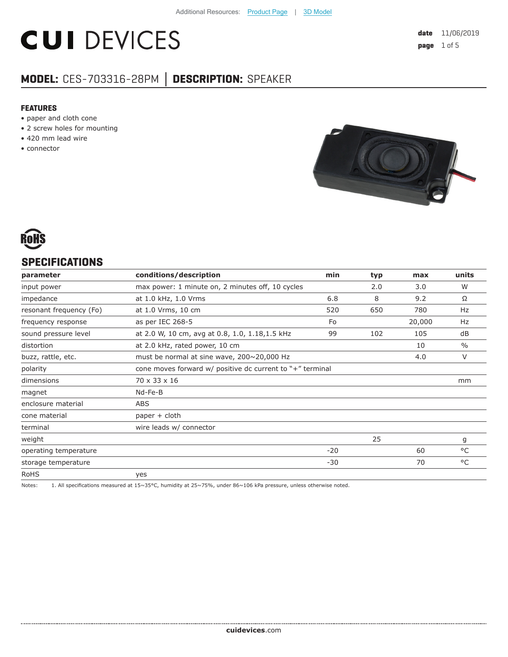# **CUI DEVICES**

#### **MODEL:** CES-703316-28PM **│ DESCRIPTION:** SPEAKER

#### **FEATURES**

- paper and cloth cone
- 2 screw holes for mounting
- 420 mm lead wire
- connector





#### **SPECIFICATIONS**

| parameter               | conditions/description                                    | min   | typ | max    | units         |
|-------------------------|-----------------------------------------------------------|-------|-----|--------|---------------|
| input power             | max power: 1 minute on, 2 minutes off, 10 cycles          |       | 2.0 | 3.0    | W             |
| impedance               | at 1.0 kHz, 1.0 Vrms                                      | 6.8   | 8   | 9.2    | Ω             |
| resonant frequency (Fo) | at 1.0 Vrms, 10 cm                                        | 520   | 650 | 780    | Hz            |
| frequency response      | as per IEC 268-5                                          | Fo    |     | 20,000 | Hz            |
| sound pressure level    | at 2.0 W, 10 cm, avg at 0.8, 1.0, 1.18, 1.5 kHz           | 99    | 102 | 105    | dB            |
| distortion              | at 2.0 kHz, rated power, 10 cm                            |       |     | 10     | $\frac{0}{0}$ |
| buzz, rattle, etc.      | must be normal at sine wave, 200~20,000 Hz                |       |     | 4.0    | $\vee$        |
| polarity                | cone moves forward w/ positive dc current to "+" terminal |       |     |        |               |
| dimensions              | 70 x 33 x 16                                              |       |     |        | mm            |
| magnet                  | Nd-Fe-B                                                   |       |     |        |               |
| enclosure material      | ABS                                                       |       |     |        |               |
| cone material           | $paper + cloth$                                           |       |     |        |               |
| terminal                | wire leads w/ connector                                   |       |     |        |               |
| weight                  |                                                           |       | 25  |        | g             |
| operating temperature   |                                                           | $-20$ |     | 60     | °C            |
| storage temperature     |                                                           | $-30$ |     | 70     | °C            |
| <b>RoHS</b>             | yes                                                       |       |     |        |               |

Notes: 1. All specifications measured at 15~35°C, humidity at 25~75%, under 86~106 kPa pressure, unless otherwise noted.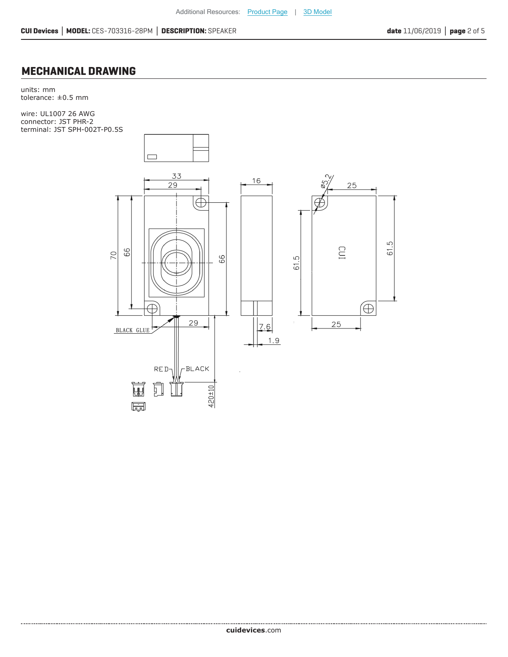#### **MECHANICAL DRAWING**

units: mm tolerance: ±0.5 mm

wire: UL1007 26 AWG connector: JST PHR-2 terminal: JST SPH-002T-P0.5S

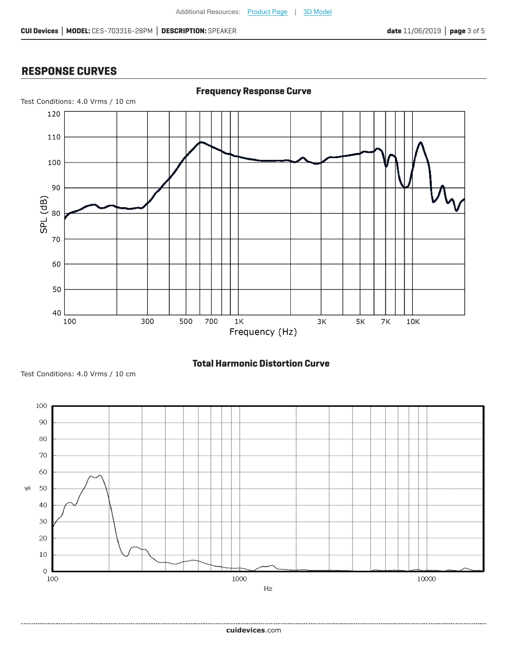#### **RESPONSE CURVES**



#### **Total Harmonic Distortion Curve**



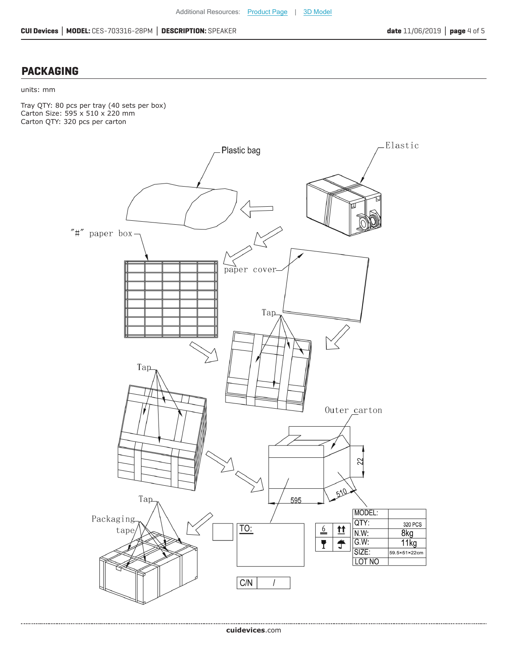#### **PACKAGING**

#### units: mm

Tray QTY: 80 pcs per tray (40 sets per box) Carton Size: 595 x 510 x 220 mm Carton QTY: 320 pcs per carton

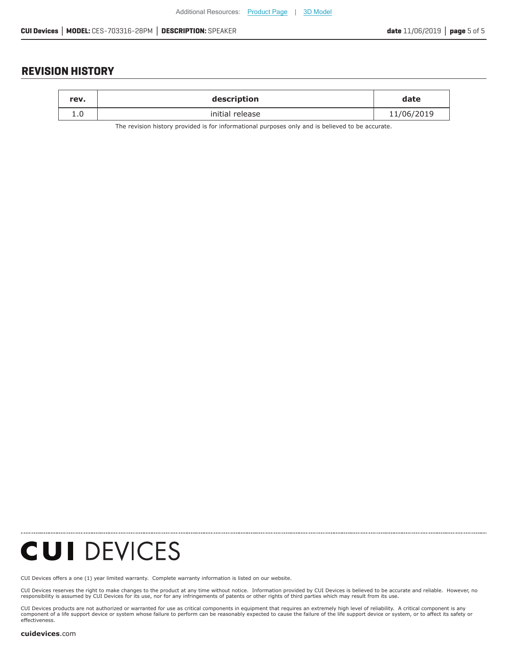#### **REVISION HISTORY**

| rev. | description     | date       |
|------|-----------------|------------|
|      | initial release | 11/06/2019 |

The revision history provided is for informational purposes only and is believed to be accurate.

## **CUI DEVICES**

[CUI Devices offers a one \(1\) year limited warranty. Complete](https://www.cuidevices.com/track?actionLabel=Datasheet-ClickThrough-HomePage&label=CES-703316-28PM.pdf&path=/) warranty information is listed on our website.

CUI Devices reserves the right to make changes to the product at any time without notice. Information provided by CUI Devices is believed to be accurate and reliable. However, no<br>responsibility is assumed by CUI Devices

CUI Devices products are not authorized or warranted for use as critical components in equiment that requires an extremely high level of reliability. A critical component is any<br>component of a life support device or syste